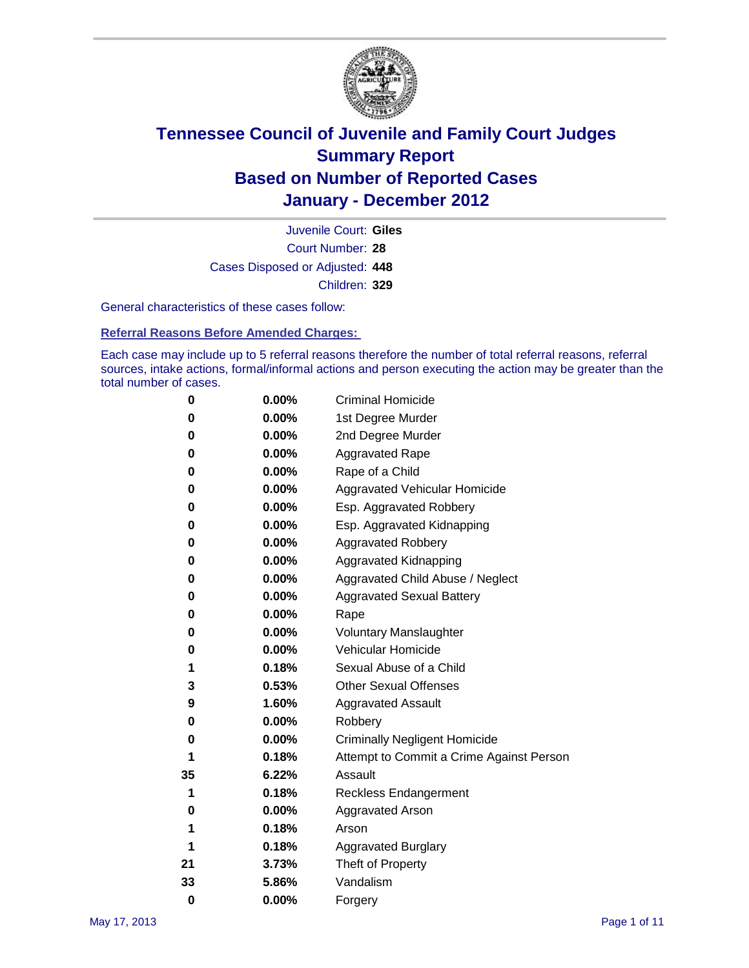

Court Number: **28** Juvenile Court: **Giles** Cases Disposed or Adjusted: **448** Children: **329**

General characteristics of these cases follow:

**Referral Reasons Before Amended Charges:** 

Each case may include up to 5 referral reasons therefore the number of total referral reasons, referral sources, intake actions, formal/informal actions and person executing the action may be greater than the total number of cases.

| 0  | 0.00%    | <b>Criminal Homicide</b>                 |
|----|----------|------------------------------------------|
| 0  | 0.00%    | 1st Degree Murder                        |
| 0  | 0.00%    | 2nd Degree Murder                        |
| 0  | 0.00%    | <b>Aggravated Rape</b>                   |
| 0  | 0.00%    | Rape of a Child                          |
| 0  | 0.00%    | Aggravated Vehicular Homicide            |
| 0  | 0.00%    | Esp. Aggravated Robbery                  |
| 0  | 0.00%    | Esp. Aggravated Kidnapping               |
| 0  | 0.00%    | <b>Aggravated Robbery</b>                |
| 0  | 0.00%    | Aggravated Kidnapping                    |
| 0  | 0.00%    | Aggravated Child Abuse / Neglect         |
| 0  | $0.00\%$ | <b>Aggravated Sexual Battery</b>         |
| 0  | 0.00%    | Rape                                     |
| 0  | 0.00%    | <b>Voluntary Manslaughter</b>            |
| 0  | 0.00%    | Vehicular Homicide                       |
| 1  | 0.18%    | Sexual Abuse of a Child                  |
| 3  | 0.53%    | <b>Other Sexual Offenses</b>             |
| 9  | 1.60%    | <b>Aggravated Assault</b>                |
| 0  | $0.00\%$ | Robbery                                  |
| 0  | 0.00%    | <b>Criminally Negligent Homicide</b>     |
| 1  | 0.18%    | Attempt to Commit a Crime Against Person |
| 35 | 6.22%    | Assault                                  |
| 1  | 0.18%    | <b>Reckless Endangerment</b>             |
| 0  | 0.00%    | <b>Aggravated Arson</b>                  |
| 1  | 0.18%    | Arson                                    |
| 1  | 0.18%    | <b>Aggravated Burglary</b>               |
| 21 | 3.73%    | Theft of Property                        |
| 33 | 5.86%    | Vandalism                                |
| 0  | 0.00%    | Forgery                                  |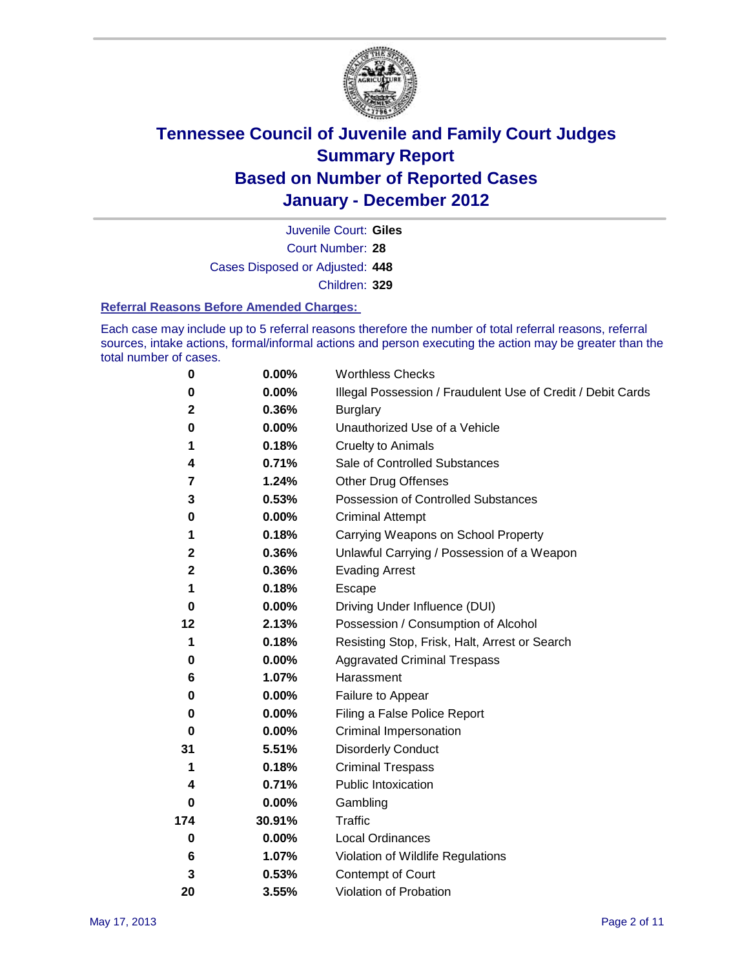

Court Number: **28** Juvenile Court: **Giles** Cases Disposed or Adjusted: **448** Children: **329**

#### **Referral Reasons Before Amended Charges:**

Each case may include up to 5 referral reasons therefore the number of total referral reasons, referral sources, intake actions, formal/informal actions and person executing the action may be greater than the total number of cases.

| $\pmb{0}$   | 0.00%    | <b>Worthless Checks</b>                                     |
|-------------|----------|-------------------------------------------------------------|
| 0           | 0.00%    | Illegal Possession / Fraudulent Use of Credit / Debit Cards |
| 2           | 0.36%    | <b>Burglary</b>                                             |
| $\bf{0}$    | $0.00\%$ | Unauthorized Use of a Vehicle                               |
| 1           | 0.18%    | <b>Cruelty to Animals</b>                                   |
| 4           | 0.71%    | Sale of Controlled Substances                               |
| 7           | 1.24%    | <b>Other Drug Offenses</b>                                  |
| 3           | 0.53%    | Possession of Controlled Substances                         |
| 0           | $0.00\%$ | <b>Criminal Attempt</b>                                     |
| 1           | 0.18%    | Carrying Weapons on School Property                         |
| $\mathbf 2$ | 0.36%    | Unlawful Carrying / Possession of a Weapon                  |
| $\mathbf 2$ | 0.36%    | <b>Evading Arrest</b>                                       |
| 1           | 0.18%    | Escape                                                      |
| 0           | $0.00\%$ | Driving Under Influence (DUI)                               |
| 12          | 2.13%    | Possession / Consumption of Alcohol                         |
| 1           | 0.18%    | Resisting Stop, Frisk, Halt, Arrest or Search               |
| 0           | $0.00\%$ | <b>Aggravated Criminal Trespass</b>                         |
| 6           | 1.07%    | Harassment                                                  |
| 0           | 0.00%    | Failure to Appear                                           |
| 0           | $0.00\%$ | Filing a False Police Report                                |
| $\bf{0}$    | 0.00%    | Criminal Impersonation                                      |
| 31          | 5.51%    | <b>Disorderly Conduct</b>                                   |
| 1           | 0.18%    | <b>Criminal Trespass</b>                                    |
| 4           | 0.71%    | Public Intoxication                                         |
| 0           | $0.00\%$ | Gambling                                                    |
| 174         | 30.91%   | <b>Traffic</b>                                              |
| 0           | $0.00\%$ | Local Ordinances                                            |
| 6           | 1.07%    | Violation of Wildlife Regulations                           |
| 3           | 0.53%    | Contempt of Court                                           |
| 20          | 3.55%    | Violation of Probation                                      |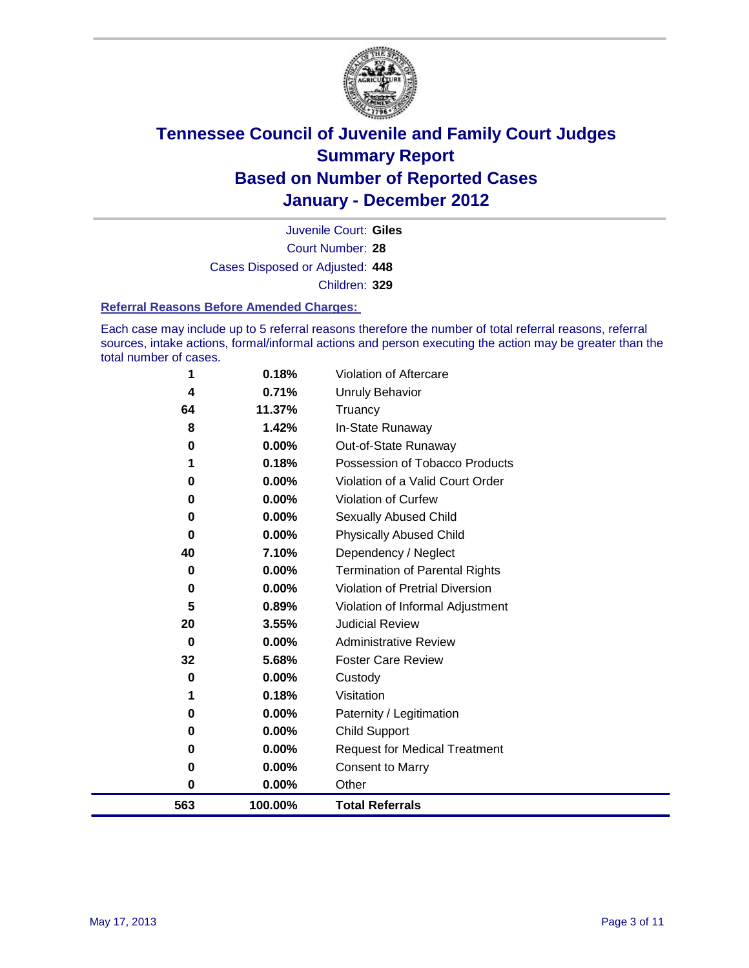

Court Number: **28** Juvenile Court: **Giles** Cases Disposed or Adjusted: **448** Children: **329**

#### **Referral Reasons Before Amended Charges:**

Each case may include up to 5 referral reasons therefore the number of total referral reasons, referral sources, intake actions, formal/informal actions and person executing the action may be greater than the total number of cases.

| 563      | 100.00%  | <b>Total Referrals</b>                 |
|----------|----------|----------------------------------------|
| 0        | 0.00%    | Other                                  |
| 0        | 0.00%    | <b>Consent to Marry</b>                |
| 0        | $0.00\%$ | <b>Request for Medical Treatment</b>   |
| 0        | $0.00\%$ | <b>Child Support</b>                   |
| 0        | $0.00\%$ | Paternity / Legitimation               |
| 1        | 0.18%    | Visitation                             |
| $\bf{0}$ | $0.00\%$ | Custody                                |
| 32       | 5.68%    | <b>Foster Care Review</b>              |
| 0        | $0.00\%$ | <b>Administrative Review</b>           |
| 20       | 3.55%    | <b>Judicial Review</b>                 |
| 5        | 0.89%    | Violation of Informal Adjustment       |
| 0        | $0.00\%$ | <b>Violation of Pretrial Diversion</b> |
| 0        | 0.00%    | <b>Termination of Parental Rights</b>  |
| 40       | 7.10%    | Dependency / Neglect                   |
| $\bf{0}$ | 0.00%    | <b>Physically Abused Child</b>         |
| 0        | 0.00%    | Sexually Abused Child                  |
| 0        | 0.00%    | Violation of Curfew                    |
| $\bf{0}$ | 0.00%    | Violation of a Valid Court Order       |
|          | 0.18%    | Possession of Tobacco Products         |
| 0        | 0.00%    | Out-of-State Runaway                   |
| 8        | 1.42%    | In-State Runaway                       |
| 64       | 11.37%   | Truancy                                |
| 4        | 0.71%    | <b>Unruly Behavior</b>                 |
| 1        | 0.18%    | <b>Violation of Aftercare</b>          |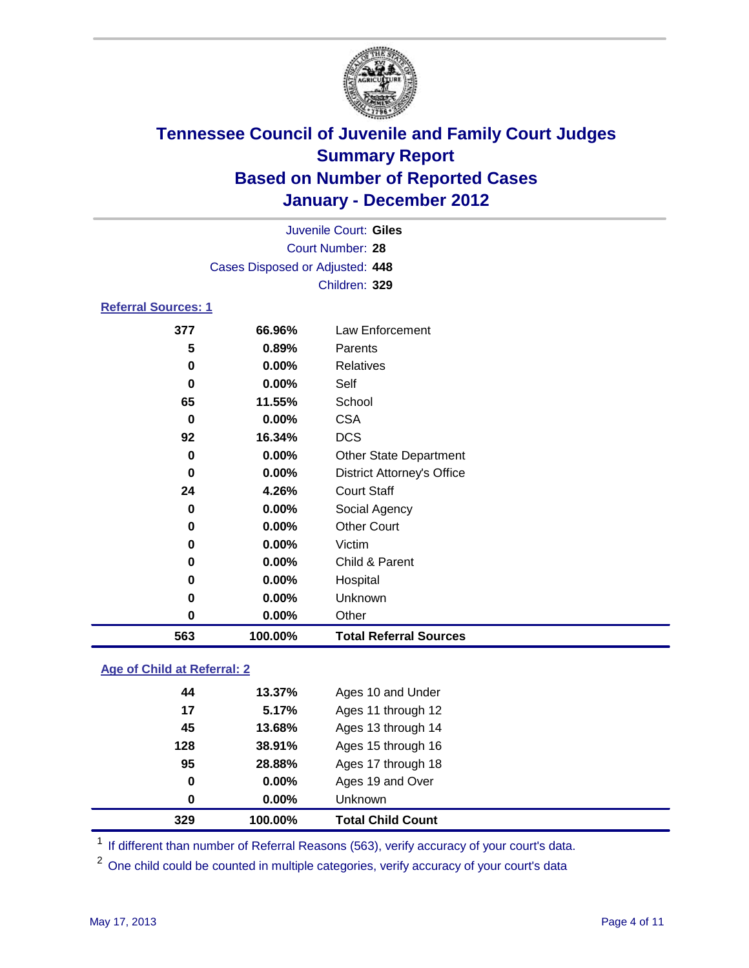

| Juvenile Court: Giles           |          |                                   |  |  |
|---------------------------------|----------|-----------------------------------|--|--|
| Court Number: 28                |          |                                   |  |  |
| Cases Disposed or Adjusted: 448 |          |                                   |  |  |
|                                 |          | Children: 329                     |  |  |
| <b>Referral Sources: 1</b>      |          |                                   |  |  |
| 377                             | 66.96%   | Law Enforcement                   |  |  |
| 5                               | 0.89%    | Parents                           |  |  |
| 0                               | 0.00%    | <b>Relatives</b>                  |  |  |
| 0                               | $0.00\%$ | Self                              |  |  |
| 65                              | 11.55%   | School                            |  |  |
| 0                               | 0.00%    | <b>CSA</b>                        |  |  |
| 92                              | 16.34%   | <b>DCS</b>                        |  |  |
| 0                               | 0.00%    | <b>Other State Department</b>     |  |  |
| 0                               | 0.00%    | <b>District Attorney's Office</b> |  |  |
| 24                              | 4.26%    | <b>Court Staff</b>                |  |  |
| 0                               | 0.00%    | Social Agency                     |  |  |
| 0                               | 0.00%    | <b>Other Court</b>                |  |  |
| 0                               | $0.00\%$ | Victim                            |  |  |
| 0                               | 0.00%    | Child & Parent                    |  |  |
| 0                               | 0.00%    | Hospital                          |  |  |
| 0                               | 0.00%    | Unknown                           |  |  |
| 0                               | 0.00%    | Other                             |  |  |

### **Age of Child at Referral: 2**

| 329 | 100.00%  | <b>Total Child Count</b> |  |
|-----|----------|--------------------------|--|
| 0   | $0.00\%$ | <b>Unknown</b>           |  |
| 0   | $0.00\%$ | Ages 19 and Over         |  |
| 95  | 28.88%   | Ages 17 through 18       |  |
| 128 | 38.91%   | Ages 15 through 16       |  |
| 45  | 13.68%   | Ages 13 through 14       |  |
| 17  | 5.17%    | Ages 11 through 12       |  |
| 44  | 13.37%   | Ages 10 and Under        |  |
|     |          |                          |  |

<sup>1</sup> If different than number of Referral Reasons (563), verify accuracy of your court's data.

**100.00% Total Referral Sources**

<sup>2</sup> One child could be counted in multiple categories, verify accuracy of your court's data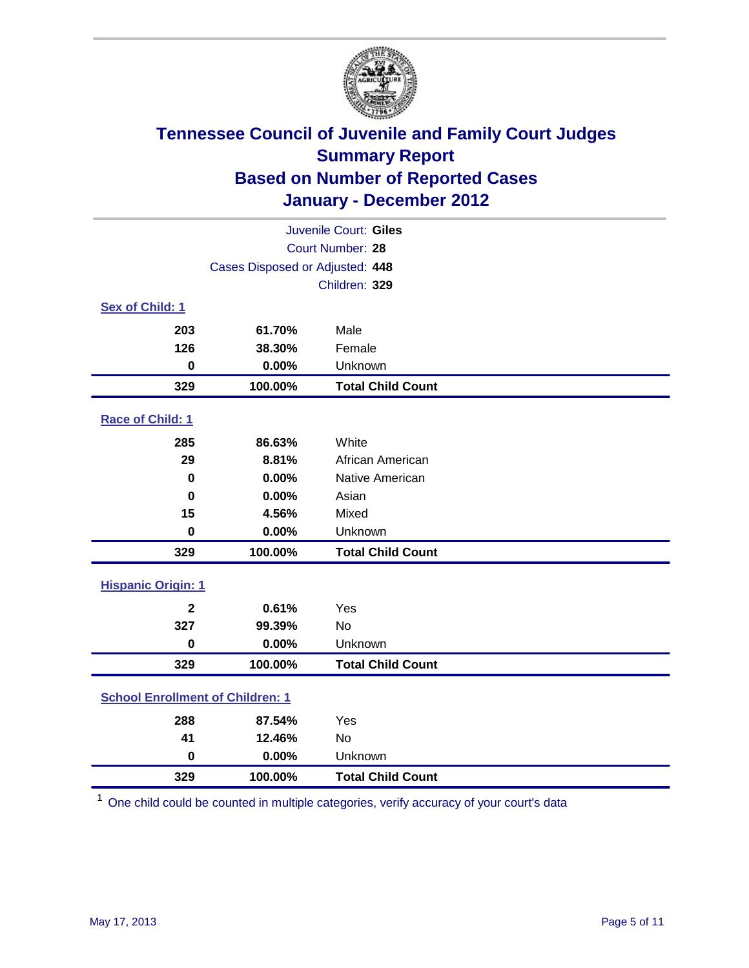

| Juvenile Court: Giles                   |                                 |                          |  |  |
|-----------------------------------------|---------------------------------|--------------------------|--|--|
| Court Number: 28                        |                                 |                          |  |  |
|                                         | Cases Disposed or Adjusted: 448 |                          |  |  |
|                                         |                                 | Children: 329            |  |  |
| Sex of Child: 1                         |                                 |                          |  |  |
| 203                                     | 61.70%                          | Male                     |  |  |
| 126                                     | 38.30%                          | Female                   |  |  |
| $\mathbf 0$                             | 0.00%                           | Unknown                  |  |  |
| 329                                     | 100.00%                         | <b>Total Child Count</b> |  |  |
| Race of Child: 1                        |                                 |                          |  |  |
| 285                                     | 86.63%                          | White                    |  |  |
| 29                                      | 8.81%                           | African American         |  |  |
| $\mathbf 0$                             | 0.00%                           | Native American          |  |  |
| $\bf{0}$                                | 0.00%                           | Asian                    |  |  |
| 15                                      | 4.56%                           | Mixed                    |  |  |
| $\mathbf 0$                             | 0.00%                           | Unknown                  |  |  |
| 329                                     | 100.00%                         | <b>Total Child Count</b> |  |  |
| <b>Hispanic Origin: 1</b>               |                                 |                          |  |  |
| $\mathbf{2}$                            | 0.61%                           | Yes                      |  |  |
| 327                                     | 99.39%                          | No                       |  |  |
| $\mathbf 0$                             | 0.00%                           | Unknown                  |  |  |
| 329                                     | 100.00%                         | <b>Total Child Count</b> |  |  |
| <b>School Enrollment of Children: 1</b> |                                 |                          |  |  |
| 288                                     | 87.54%                          | Yes                      |  |  |
| 41                                      | 12.46%                          | No                       |  |  |
| $\mathbf 0$                             | 0.00%                           | Unknown                  |  |  |
| 329                                     | 100.00%                         | <b>Total Child Count</b> |  |  |

One child could be counted in multiple categories, verify accuracy of your court's data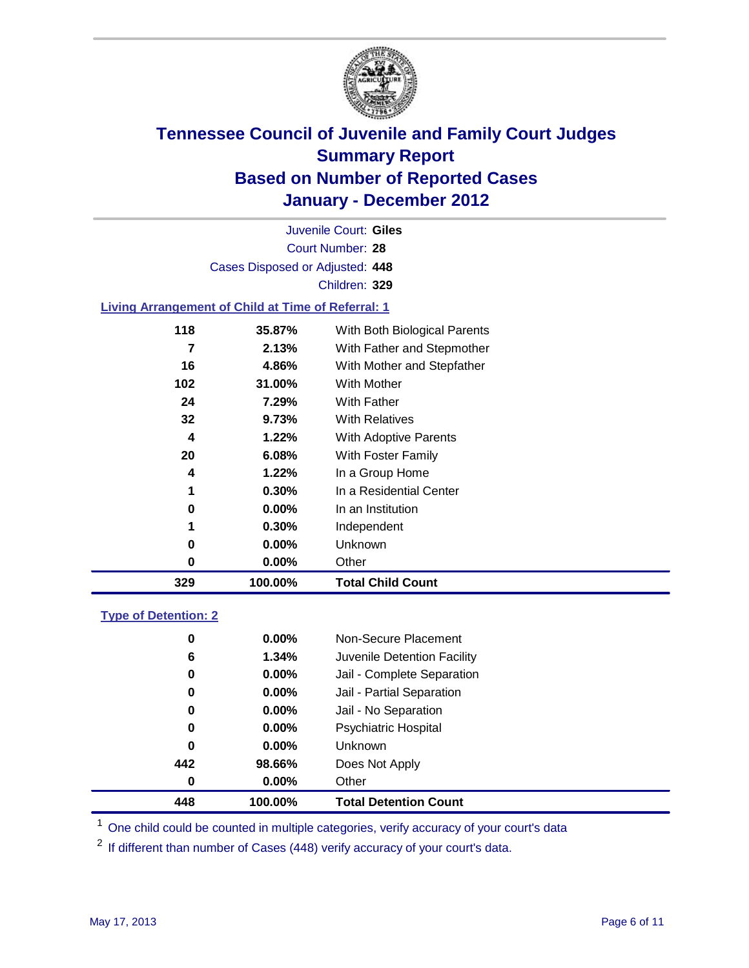

Court Number: **28** Juvenile Court: **Giles** Cases Disposed or Adjusted: **448** Children: **329**

#### **Living Arrangement of Child at Time of Referral: 1**

| 329 | 100.00%  | <b>Total Child Count</b>     |
|-----|----------|------------------------------|
| 0   | $0.00\%$ | Other                        |
| 0   | $0.00\%$ | Unknown                      |
| 1   | 0.30%    | Independent                  |
| 0   | $0.00\%$ | In an Institution            |
| 1   | $0.30\%$ | In a Residential Center      |
| 4   | 1.22%    | In a Group Home              |
| 20  | 6.08%    | With Foster Family           |
| 4   | 1.22%    | With Adoptive Parents        |
| 32  | 9.73%    | <b>With Relatives</b>        |
| 24  | 7.29%    | <b>With Father</b>           |
| 102 | 31.00%   | <b>With Mother</b>           |
| 16  | 4.86%    | With Mother and Stepfather   |
| 7   | 2.13%    | With Father and Stepmother   |
| 118 | 35.87%   | With Both Biological Parents |
|     |          |                              |

#### **Type of Detention: 2**

| 448      | 100.00%  | <b>Total Detention Count</b> |  |
|----------|----------|------------------------------|--|
| $\bf{0}$ | $0.00\%$ | Other                        |  |
| 442      | 98.66%   | Does Not Apply               |  |
| $\bf{0}$ | $0.00\%$ | <b>Unknown</b>               |  |
| 0        | $0.00\%$ | <b>Psychiatric Hospital</b>  |  |
| 0        | 0.00%    | Jail - No Separation         |  |
| 0        | $0.00\%$ | Jail - Partial Separation    |  |
| 0        | $0.00\%$ | Jail - Complete Separation   |  |
| 6        | 1.34%    | Juvenile Detention Facility  |  |
| 0        | $0.00\%$ | Non-Secure Placement         |  |
|          |          |                              |  |

<sup>1</sup> One child could be counted in multiple categories, verify accuracy of your court's data

<sup>2</sup> If different than number of Cases (448) verify accuracy of your court's data.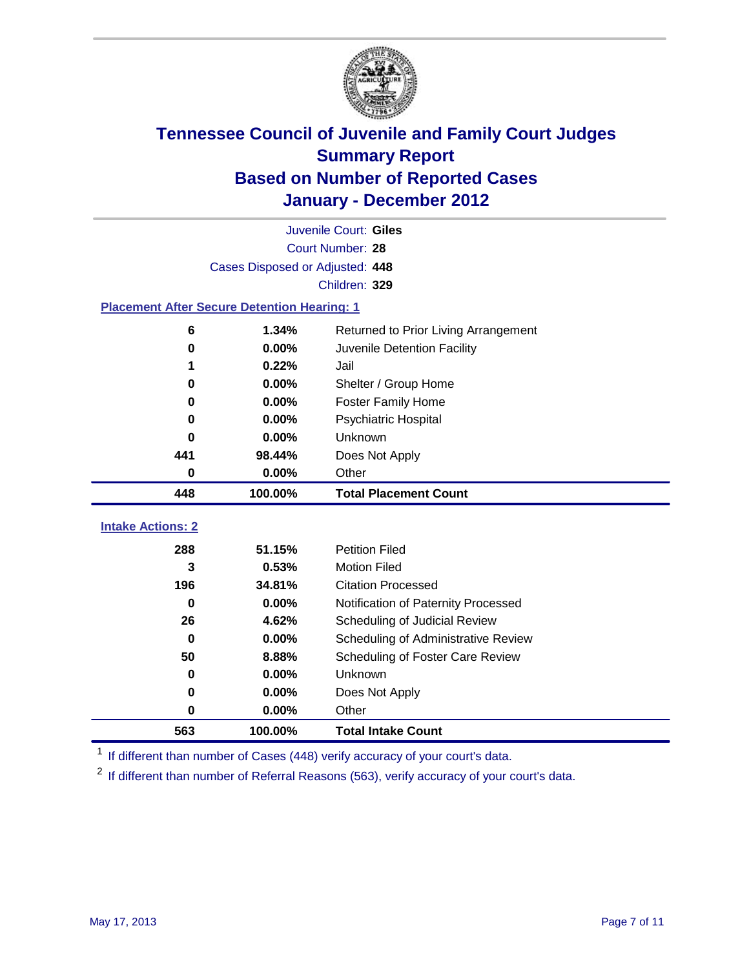

| Juvenile Court: Giles                              |                                 |                                      |  |  |  |
|----------------------------------------------------|---------------------------------|--------------------------------------|--|--|--|
|                                                    | <b>Court Number: 28</b>         |                                      |  |  |  |
|                                                    | Cases Disposed or Adjusted: 448 |                                      |  |  |  |
|                                                    |                                 | Children: 329                        |  |  |  |
| <b>Placement After Secure Detention Hearing: 1</b> |                                 |                                      |  |  |  |
| 6                                                  | 1.34%                           | Returned to Prior Living Arrangement |  |  |  |
| $\bf{0}$                                           | 0.00%                           | Juvenile Detention Facility          |  |  |  |
|                                                    | 0.22%                           | Jail                                 |  |  |  |
| $\bf{0}$                                           | 0.00%                           | Shelter / Group Home                 |  |  |  |
| $\bf{0}$                                           | 0.00%                           | <b>Foster Family Home</b>            |  |  |  |
| 0                                                  | 0.00%                           | Psychiatric Hospital                 |  |  |  |
| $\bf{0}$                                           | 0.00%                           | Unknown                              |  |  |  |
| 441                                                | 98.44%                          | Does Not Apply                       |  |  |  |
| $\mathbf 0$                                        | 0.00%                           | Other                                |  |  |  |
|                                                    |                                 |                                      |  |  |  |
| 448                                                | 100.00%                         | <b>Total Placement Count</b>         |  |  |  |
| <b>Intake Actions: 2</b>                           |                                 |                                      |  |  |  |
| 288                                                | 51.15%                          | <b>Petition Filed</b>                |  |  |  |
| 3                                                  | 0.53%                           | <b>Motion Filed</b>                  |  |  |  |
| 196                                                | 34.81%                          | <b>Citation Processed</b>            |  |  |  |
| $\bf{0}$                                           | 0.00%                           | Notification of Paternity Processed  |  |  |  |
| 26                                                 | 4.62%                           | Scheduling of Judicial Review        |  |  |  |
| $\bf{0}$                                           | 0.00%                           | Scheduling of Administrative Review  |  |  |  |
| 50                                                 | 8.88%                           | Scheduling of Foster Care Review     |  |  |  |
| $\bf{0}$                                           | 0.00%                           | Unknown                              |  |  |  |
| 0                                                  | 0.00%                           | Does Not Apply                       |  |  |  |

<sup>1</sup> If different than number of Cases (448) verify accuracy of your court's data.

**100.00% Total Intake Count**

<sup>2</sup> If different than number of Referral Reasons (563), verify accuracy of your court's data.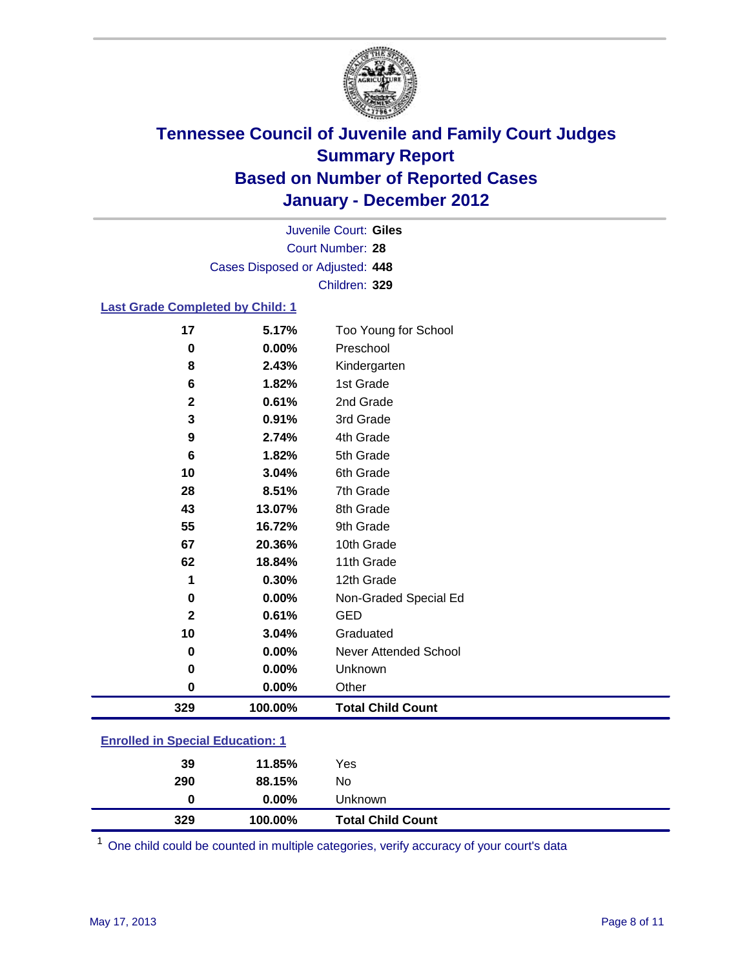

Court Number: **28** Juvenile Court: **Giles** Cases Disposed or Adjusted: **448** Children: **329**

### **Last Grade Completed by Child: 1**

| 17                                      | 5.17%   | Too Young for School         |  |
|-----------------------------------------|---------|------------------------------|--|
| 0                                       | 0.00%   | Preschool                    |  |
| 8                                       | 2.43%   | Kindergarten                 |  |
| 6                                       | 1.82%   | 1st Grade                    |  |
| $\mathbf{2}$                            | 0.61%   | 2nd Grade                    |  |
| 3                                       | 0.91%   | 3rd Grade                    |  |
| 9                                       | 2.74%   | 4th Grade                    |  |
| 6                                       | 1.82%   | 5th Grade                    |  |
| 10                                      | 3.04%   | 6th Grade                    |  |
| 28                                      | 8.51%   | 7th Grade                    |  |
| 43                                      | 13.07%  | 8th Grade                    |  |
| 55                                      | 16.72%  | 9th Grade                    |  |
| 67                                      | 20.36%  | 10th Grade                   |  |
| 62                                      | 18.84%  | 11th Grade                   |  |
| 1                                       | 0.30%   | 12th Grade                   |  |
| 0                                       | 0.00%   | Non-Graded Special Ed        |  |
| $\mathbf{2}$                            | 0.61%   | <b>GED</b>                   |  |
| 10                                      | 3.04%   | Graduated                    |  |
| 0                                       | 0.00%   | <b>Never Attended School</b> |  |
| 0                                       | 0.00%   | Unknown                      |  |
| $\mathbf 0$                             | 0.00%   | Other                        |  |
| 329                                     | 100.00% | <b>Total Child Count</b>     |  |
| <b>Enrolled in Special Education: 1</b> |         |                              |  |

| 329 | 100.00%  | <b>Total Child Count</b> |  |  |
|-----|----------|--------------------------|--|--|
| 0   | $0.00\%$ | <b>Unknown</b>           |  |  |
| 290 | 88.15%   | No                       |  |  |
| 39  | 11.85%   | Yes                      |  |  |
|     |          |                          |  |  |

One child could be counted in multiple categories, verify accuracy of your court's data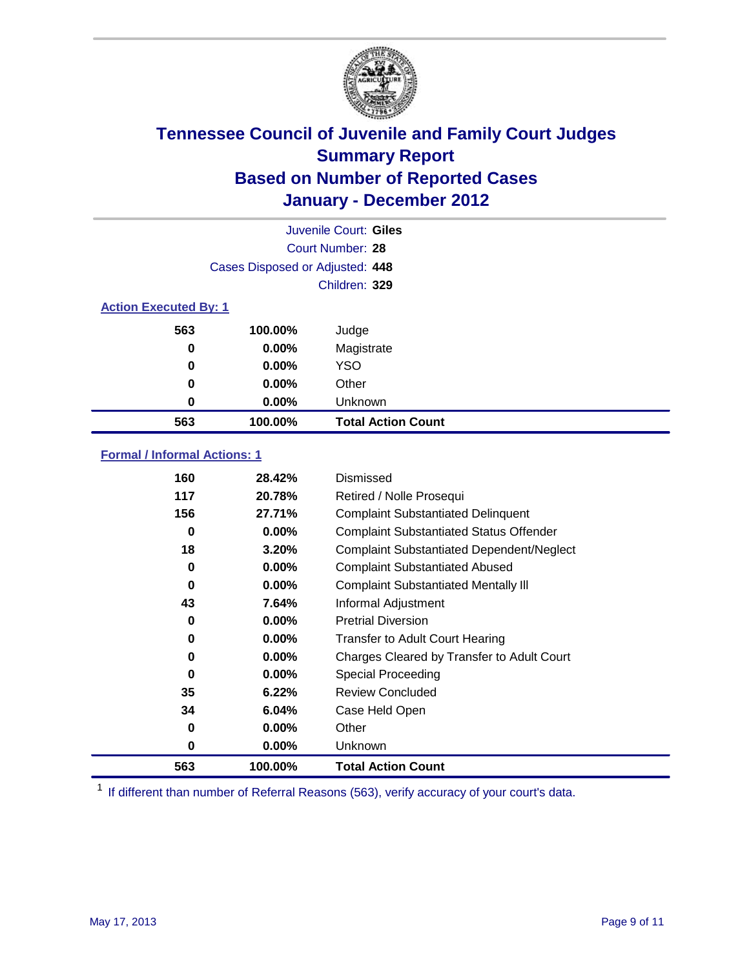

|                              | Juvenile Court: Giles           |                           |  |  |  |
|------------------------------|---------------------------------|---------------------------|--|--|--|
|                              | Court Number: 28                |                           |  |  |  |
|                              | Cases Disposed or Adjusted: 448 |                           |  |  |  |
|                              |                                 | Children: 329             |  |  |  |
| <b>Action Executed By: 1</b> |                                 |                           |  |  |  |
| 563                          | 100.00%                         | Judge                     |  |  |  |
| 0                            | $0.00\%$                        | Magistrate                |  |  |  |
| 0                            | $0.00\%$                        | <b>YSO</b>                |  |  |  |
| 0                            | 0.00%                           | Other                     |  |  |  |
| 0                            | 0.00%                           | Unknown                   |  |  |  |
| 563                          | 100.00%                         | <b>Total Action Count</b> |  |  |  |

### **Formal / Informal Actions: 1**

| 160 | 28.42%   | Dismissed                                        |
|-----|----------|--------------------------------------------------|
| 117 | 20.78%   | Retired / Nolle Prosequi                         |
| 156 | 27.71%   | <b>Complaint Substantiated Delinquent</b>        |
| 0   | $0.00\%$ | <b>Complaint Substantiated Status Offender</b>   |
| 18  | 3.20%    | <b>Complaint Substantiated Dependent/Neglect</b> |
| 0   | $0.00\%$ | <b>Complaint Substantiated Abused</b>            |
| 0   | $0.00\%$ | <b>Complaint Substantiated Mentally III</b>      |
| 43  | 7.64%    | Informal Adjustment                              |
| 0   | $0.00\%$ | <b>Pretrial Diversion</b>                        |
| 0   | $0.00\%$ | <b>Transfer to Adult Court Hearing</b>           |
| 0   | $0.00\%$ | Charges Cleared by Transfer to Adult Court       |
| 0   | $0.00\%$ | Special Proceeding                               |
| 35  | 6.22%    | <b>Review Concluded</b>                          |
| 34  | 6.04%    | Case Held Open                                   |
| 0   | $0.00\%$ | Other                                            |
| 0   | $0.00\%$ | <b>Unknown</b>                                   |
| 563 | 100.00%  | <b>Total Action Count</b>                        |

<sup>1</sup> If different than number of Referral Reasons (563), verify accuracy of your court's data.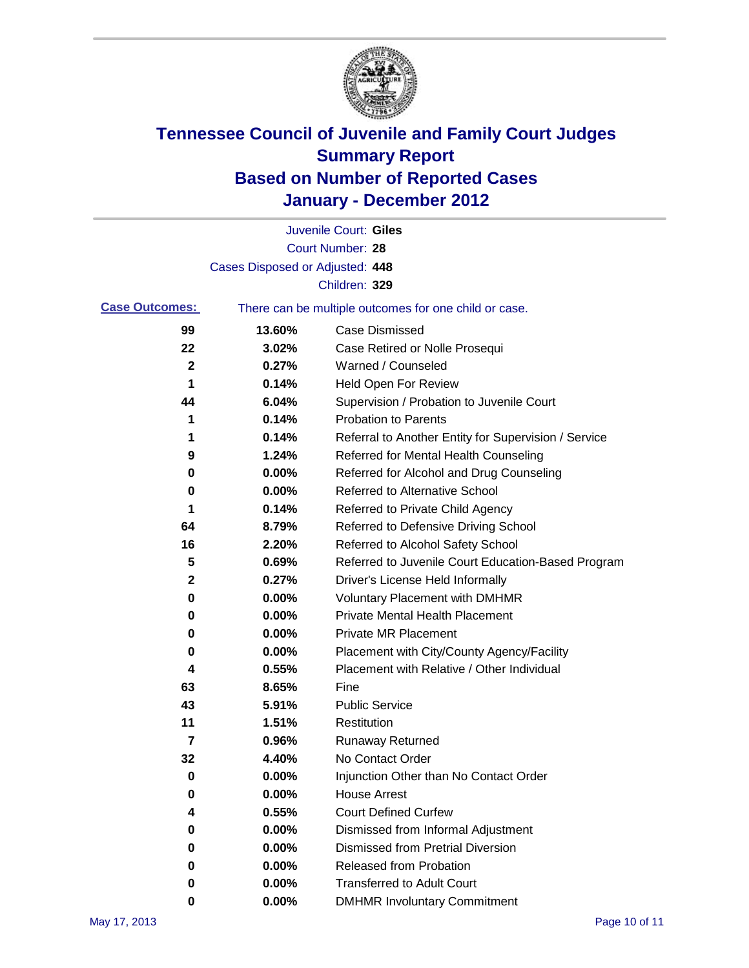

|                       |                                 | Juvenile Court: Giles                                 |
|-----------------------|---------------------------------|-------------------------------------------------------|
|                       |                                 | Court Number: 28                                      |
|                       | Cases Disposed or Adjusted: 448 |                                                       |
|                       |                                 | Children: 329                                         |
| <b>Case Outcomes:</b> |                                 | There can be multiple outcomes for one child or case. |
| 99                    | 13.60%                          | <b>Case Dismissed</b>                                 |
| 22                    | 3.02%                           | Case Retired or Nolle Prosequi                        |
| 2                     | 0.27%                           | Warned / Counseled                                    |
| 1                     | 0.14%                           | Held Open For Review                                  |
| 44                    | 6.04%                           | Supervision / Probation to Juvenile Court             |
| 1                     | 0.14%                           | <b>Probation to Parents</b>                           |
| 1                     | 0.14%                           | Referral to Another Entity for Supervision / Service  |
| 9                     | 1.24%                           | Referred for Mental Health Counseling                 |
| 0                     | 0.00%                           | Referred for Alcohol and Drug Counseling              |
| 0                     | 0.00%                           | <b>Referred to Alternative School</b>                 |
| 1                     | 0.14%                           | Referred to Private Child Agency                      |
| 64                    | 8.79%                           | Referred to Defensive Driving School                  |
| 16                    | 2.20%                           | Referred to Alcohol Safety School                     |
| 5                     | 0.69%                           | Referred to Juvenile Court Education-Based Program    |
| 2                     | 0.27%                           | Driver's License Held Informally                      |
| 0                     | 0.00%                           | <b>Voluntary Placement with DMHMR</b>                 |
| 0                     | 0.00%                           | <b>Private Mental Health Placement</b>                |
| 0                     | 0.00%                           | <b>Private MR Placement</b>                           |
| 0                     | 0.00%                           | Placement with City/County Agency/Facility            |
| 4                     | 0.55%                           | Placement with Relative / Other Individual            |
| 63                    | 8.65%                           | Fine                                                  |
| 43                    | 5.91%                           | <b>Public Service</b>                                 |
| 11                    | 1.51%                           | Restitution                                           |
| 7                     | 0.96%                           | <b>Runaway Returned</b>                               |
| 32                    | 4.40%                           | No Contact Order                                      |
| 0                     | $0.00\%$                        | Injunction Other than No Contact Order                |
| 0                     | 0.00%                           | <b>House Arrest</b>                                   |
| 4                     | 0.55%                           | <b>Court Defined Curfew</b>                           |
| 0                     | 0.00%                           | Dismissed from Informal Adjustment                    |
| 0                     | 0.00%                           | <b>Dismissed from Pretrial Diversion</b>              |
| 0                     | 0.00%                           | <b>Released from Probation</b>                        |
| 0                     | $0.00\%$                        | <b>Transferred to Adult Court</b>                     |
| 0                     | $0.00\%$                        | <b>DMHMR Involuntary Commitment</b>                   |